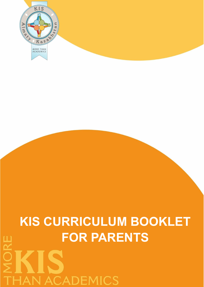

## **KIS CURRICULUM BOOKLET FOR PARENTSHAN ACADEMICS**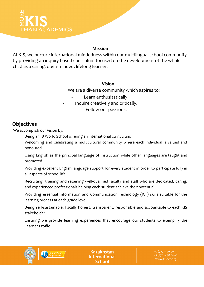## **AN ACADEMICS**

#### **Mission**

At KIS, we nurture international mindedness within our multilingual school community by providing an inquiry-based curriculum focused on the development of the whole child as a caring, open-minded, lifelong learner.

#### **Vision**

We are a diverse community which aspires to:

- Learn enthusiastically.
- Inquire creatively and critically.

Follow our passions.

## **Objectives**

We accomplish our Vision by:

- Being an IB World School offering an international curriculum.
- Welcoming and celebrating a multicultural community where each individual is valued and honoured.
- Using English as the principal language of instruction while other languages are taught and promoted.
- Providing excellent English language support for every student in order to participate fully in all aspects of school life.
- Recruiting, training and retaining well-qualified faculty and staff who are dedicated, caring, and experienced professionals helping each student achieve their potential.
- Providing essential Information and Communication Technology (ICT) skills suitable for the learning process at each grade level.
- Being self-sustainable, fiscally honest, transparent, responsible and accountable to each KIS stakeholder.
- Ensuring we provide learning experiences that encourage our students to exemplify the Learner Profile.



**Kazakhstan International** School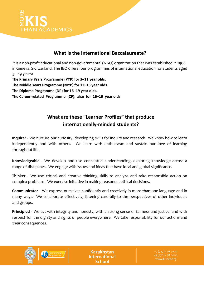

#### **What is the International Baccalaureate?**

It is a non-profit educational and non-governmental (NGO) organization that was established in 1968 in Geneva, Switzerland. The IBO offers four programmes of international education for students aged  $3 - 19$  years:

**The Primary Years Programme (PYP) for 3–11 year olds.**

**The Middle Years Programme (MYP) for 12–15 year olds.**

**The Diploma Programme (DP) for 16–19 year olds.**

**The Career-related Programme (CP), also for 16–19 year olds.**

## **What are these "Learner Profiles" that produce internationally-minded students?**

**Inquirer** - We nurture our curiosity, developing skills for inquiry and research. We know how to learn independently and with others. We learn with enthusiasm and sustain our love of learning throughout life.

**Knowledgeable** - We develop and use conceptual understanding, exploring knowledge across a range of disciplines. We engage with issues and ideas that have local and global significance.

**Thinker** - We use critical and creative thinking skills to analyze and take responsible action on complex problems. We exercise initiative in making reasoned, ethical decisions.

**Communicator** - We express ourselves confidently and creatively in more than one language and in many ways. We collaborate effectively, listening carefully to the perspectives of other individuals and groups.

**Principled** - We act with integrity and honesty, with a strong sense of fairness and justice, and with respect for the dignity and rights of people everywhere. We take responsibility for our actions and their consequences.



**Kazakhstan International** School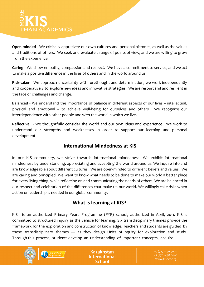# **HAN ACADEMICS**

**Open-minded** - We critically appreciate our own cultures and personal histories, as well as the values and traditions of others. We seek and evaluate a range of points of view, and we are willing to grow from the experience.

**Caring** - We show empathy, compassion and respect. We have a commitment to service, and we act to make a positive difference in the lives of others and in the world around us.

**Risk-taker** - We approach uncertainty with forethought and determination; we work independently and cooperatively to explore new ideas and innovative strategies. We are resourceful and resilient in the face of challenges and change.

**Balanced** - We understand the importance of balance in different aspects of our lives – intellectual, physical and emotional – to achieve well-being for ourselves and others. We recognize our interdependence with other people and with the world in which we live.

**Reflective** - We thoughtfully **consider the** world and our own ideas and experience. We work to understand our strengths and weaknesses in order to support our learning and personal development.

#### **International Mindedness at KIS**

In our KIS community, we strive towards international mindedness. We exhibit international mindedness by understanding, appreciating and accepting the world around us. We inquire into and are knowledgeable about different cultures. We are open-minded to different beliefs and values. We are caring and principled. We want to know what needs to be done to make our world a better place for every living thing, while reflecting on and communicating the needs of others. We are balanced in our respect and celebration of the differences that make up our world. We willingly take risks when action or leadership is needed in our global community.

### **What is learning at KIS?**

KIS is an authorized Primary Years Programme (PYP) school, authorized in April, 2011. KIS is committed to structured inquiry as the vehicle for learning. Six transdisciplinary themes provide the framework for the exploration and construction of knowledge. Teachers and students are guided by these transdisciplinary themes — as they design Units of Inquiry for exploration and study. Through this process, students develop an understanding of important concepts, acquire

**Kazakhstan International** School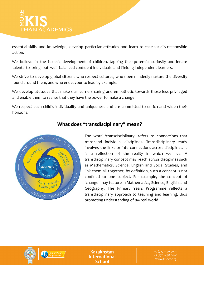

essential skills and knowledge, develop particular attitudes and learn to take socially responsible action.

We believe in the holistic development of children, tapping their potential curiosity and innate talents to bring out well balanced confident individuals, and lifelong independent learners.

We strive to develop global citizens who respect cultures, who open-mindedly nurture the diversity found around them, and who endeavour to lead by example.

We develop attitudes that make our learners caring and empathetic towards those less privileged and enable them to realise that they have the power to make a change.

We respect each child's individuality and uniqueness and are committed to enrich and widen their horizons.



### **What does "transdisciplinary" mean?**

The word 'transdisciplinary' refers to connections that transcend individual disciplines. Transdisciplinary study involves the links or interconnections across disciplines. It is a reflection of the reality in which we live. A transdisciplinary concept may reach across disciplines such as Mathematics, Science, English and Social Studies, and link them all together; by definition, such a concept is not confined to one subject. For example, the concept of 'change' may feature in Mathematics, Science, English, and Geography. The Primary Years Programme reflects a transdisciplinary approach to teaching and learning, thus promoting understanding of the real world.



**Kazakhstan International** School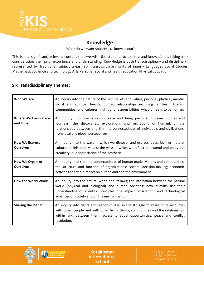IS THAN ACADEMICS

#### **Knowledge**

What do we want students to know about?

This is the significant, relevant content that we wish the students to explore and know about, taking into consideration their prior experience and understanding. Knowledge is both transdisciplinary and disciplinary, represented by traditional subject areas. Six transdisciplinary units of inquiry Languages Social Studies Mathematics Science and technology Arts Personal, social and health education Physical Education

#### **Six Transdisciplinary Themes:**

| Who We Are                                 | An inquiry into the nature of the self; beliefs and values; personal, physical, mental,<br>social and spiritual health; human relationships including families,<br>friends,<br>communities, and cultures; rights and responsibilities; what it means to be human.                                     |  |  |  |
|--------------------------------------------|-------------------------------------------------------------------------------------------------------------------------------------------------------------------------------------------------------------------------------------------------------------------------------------------------------|--|--|--|
| <b>Where We Are in Place</b><br>and Time   | An inquiry into orientation in place and time; personal histories; homes and<br>journeys; the discoveries, explorations and migrations of humankind; the<br>relationships between and the interconnectedness of individuals and civilizations,<br>from local and global perspectives.                 |  |  |  |
| <b>How We Express</b><br><b>Ourselves</b>  | An inquiry into the ways in which we discover and express ideas, feelings, nature,<br>culture, beliefs and values; the ways in which we reflect on, extend and enjoy our<br>creativity; our appreciation of the aesthetic.                                                                            |  |  |  |
| <b>How We Organize</b><br><b>Ourselves</b> | An inquiry into the interconnectedness of human-made systems and communities;<br>the structure and function of organizations; societal decision-making; economic<br>activities and their impact on humankind and the environment.                                                                     |  |  |  |
| <b>How the World Works</b>                 | An inquiry into the natural world and its laws; the interaction between the natural<br>world (physical and biological) and human societies; how humans use their<br>understanding of scientific principles; the impact of scientific and technological<br>advances on society and on the environment. |  |  |  |
| <b>Sharing the Planet</b>                  | An inquiry into rights and responsibilities in the struggle to share finite resources<br>with other people and with other living things; communities and the relationships<br>within and between them; access to equal opportunities; peace and conflict<br>resolution.                               |  |  |  |



Primary Years

**Kazakhstan International School** 

+7 (727) 356 5000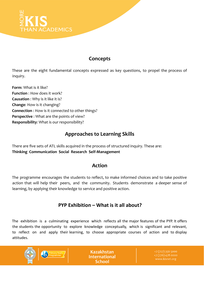

### **Concepts**

These are the eight fundamental concepts expressed as key questions, to propel the process of inquiry.

**Form**: What is it like? **Function** : How does it work? **Causation** : Why is it like it is? **Change**: How is it changing? **Connection** : How is it connected to other things? **Perspective** : What are the points of view? **Responsibility**: What is our responsibility?

## **Approaches to Learning Skills**

There are five sets of ATL skills acquired in the process of structured inquiry. These are: **Thinking Communication Social Research Self-Management**

## **Action**

The programme encourages the students to reflect, to make informed choices and to take positive action that will help their peers, and the community. Students demonstrate a deeper sense of learning, by applying their knowledge to service and positive action.

## **PYP Exhibition – What is it all about?**

The exhibition is a culminating experience which reflects all the major features of the PYP. It offers the students the opportunity to explore knowledge conceptually, which is significant and relevant, to reflect on and apply their learning, to choose appropriate courses of action and to display attitudes.



**Kazakhstan International** School

+7 (727) 356 5000 www.kisnet.org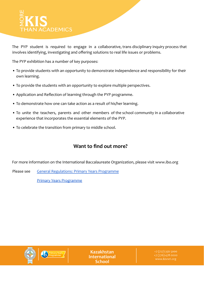# **HAN ACADEMICS**

The PYP student is required to engage in a collaborative, trans disciplinary inquiry process that involves identifying, investigating and offering solutions to real life issues or problems.

The PYP exhibition has a number of key purposes:

- To provide students with an opportunity to demonstrate independence and responsibility for their own learning.
- To provide the students with an opportunity to explore multiple perspectives.
- Application and Reflection of learning through the PYP programme.
- To demonstrate how one can take action as a result of his/her learning.
- To unite the teachers, parents and other members of the school community in a collaborative experience that incorporates the essential elements of the PYP.
- To celebrate the transition from primary to middle school.

## **Want to find out more?**

For more information on the International Baccalaureate Organization, please visit www.ibo.org

Please see [General Regulations: Primary Years Programme](https://www.ibo.org/globalassets/publications/become-an-ib-school/general-regulations-pyp-en.pdf)

[Primary Years Programme](https://www.ibo.org/programmes/primary-years-programme/)



**Kazakhstan International** School

+7 (727) 356 5000 www.kisnet.org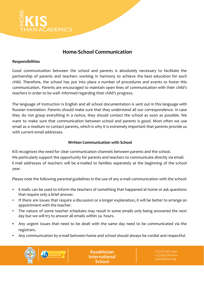

### **Home-School Communication**

#### **Responsibilities**

Good communication between the school and parents is absolutely necessary to facilitate the partnership of parents and teachers working in harmony to achieve the best education for each child. Therefore, the school has put into place a number of procedures and events to foster this communication. Parents are encouraged to maintain open lines of communication with their child's teachers in order to be well- informed regarding their child's progress.

The language of instruction is English and all school documentation is sent out in this language with Russian translation. Parents should make sure that they understand all our correspondence. In case they do not grasp everything in a notice, they should contact the school as soon as possible. We want to make sure that communication between school and parents is good. Most often we use email as a medium to contact parents, which is why it is extremely important that parents provide us with current email addresses.

#### **Written Communication with School**

KIS recognizes the need for clear communication channels between parents and the school. We particularly support the opportunity for parents and teachers to communicate directly via email. E-mail addresses of teachers will be e-mailed to families separately at the beginning of the school year.

Please note the following parental guidelines in the use of any e-mail communication with the school:

- E-mails can be used to inform the teachers of something that happened at home or ask questions that require only a brief answer.
- If there are issues that require a discussion or a longer explanation, it will be better to arrange an appointment with the teacher.
- The nature of some teacher schedules may result in some emails only being answered the next day but we will try to answer all emails within 24 hours.
- Any urgent issues that need to be dealt with the same day need to be communicated via the registrars.
- Any communication by e-mail between home and school should always be cordial and respectful.



**Kazakhstan International** School

+7 (776) 478 0000 www.kisnet.org